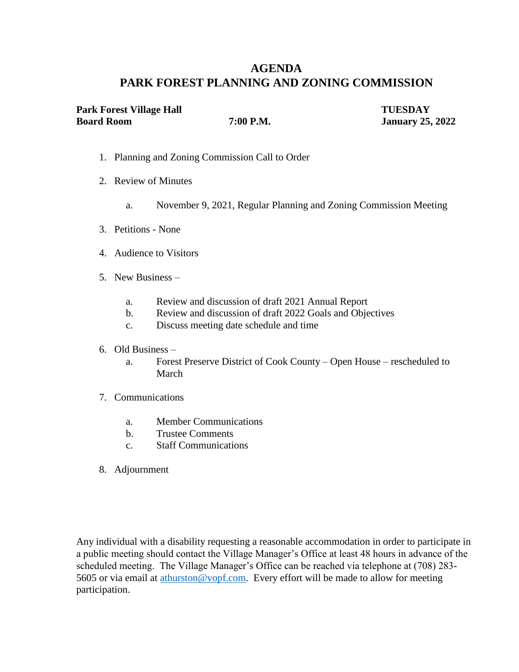# **AGENDA PARK FOREST PLANNING AND ZONING COMMISSION**

| Park Forest Village Hall |           | <b>TUESDAY</b>          |
|--------------------------|-----------|-------------------------|
| <b>Board Room</b>        | 7:00 P.M. | <b>January 25, 2022</b> |

- 1. Planning and Zoning Commission Call to Order
- 2. Review of Minutes
	- a. November 9, 2021, Regular Planning and Zoning Commission Meeting
- 3. Petitions None
- 4. Audience to Visitors
- 5. New Business
	- a. Review and discussion of draft 2021 Annual Report
	- b. Review and discussion of draft 2022 Goals and Objectives
	- c. Discuss meeting date schedule and time
- 6. Old Business
	- a. Forest Preserve District of Cook County Open House rescheduled to March
- 7. Communications
	- a. Member Communications
	- b. Trustee Comments
	- c. Staff Communications
- 8. Adjournment

Any individual with a disability requesting a reasonable accommodation in order to participate in a public meeting should contact the Village Manager's Office at least 48 hours in advance of the scheduled meeting. The Village Manager's Office can be reached via telephone at (708) 283- 5605 or via email at [athurston@vopf.com.](mailto:athurston@vopf.com) Every effort will be made to allow for meeting participation.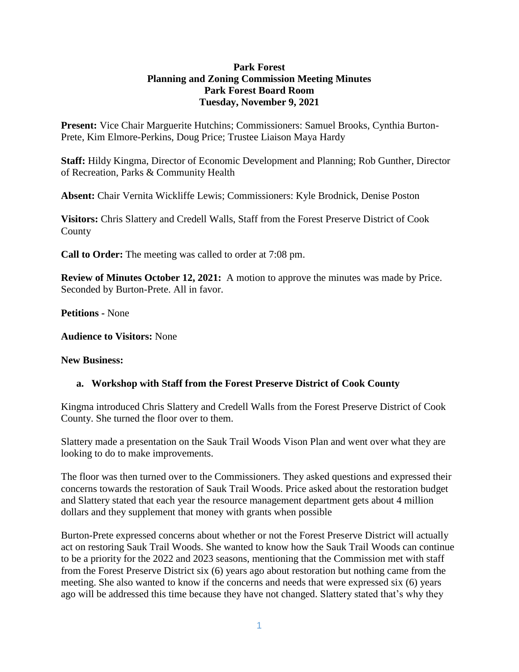#### **Park Forest Planning and Zoning Commission Meeting Minutes Park Forest Board Room Tuesday, November 9, 2021**

**Present:** Vice Chair Marguerite Hutchins; Commissioners: Samuel Brooks, Cynthia Burton-Prete, Kim Elmore-Perkins, Doug Price; Trustee Liaison Maya Hardy

**Staff:** Hildy Kingma, Director of Economic Development and Planning; Rob Gunther, Director of Recreation, Parks & Community Health

**Absent:** Chair Vernita Wickliffe Lewis; Commissioners: Kyle Brodnick, Denise Poston

**Visitors:** Chris Slattery and Credell Walls, Staff from the Forest Preserve District of Cook County

**Call to Order:** The meeting was called to order at 7:08 pm.

**Review of Minutes October 12, 2021:** A motion to approve the minutes was made by Price. Seconded by Burton-Prete. All in favor.

**Petitions -** None

**Audience to Visitors:** None

#### **New Business:**

#### **a. Workshop with Staff from the Forest Preserve District of Cook County**

Kingma introduced Chris Slattery and Credell Walls from the Forest Preserve District of Cook County. She turned the floor over to them.

Slattery made a presentation on the Sauk Trail Woods Vison Plan and went over what they are looking to do to make improvements.

The floor was then turned over to the Commissioners. They asked questions and expressed their concerns towards the restoration of Sauk Trail Woods. Price asked about the restoration budget and Slattery stated that each year the resource management department gets about 4 million dollars and they supplement that money with grants when possible

Burton-Prete expressed concerns about whether or not the Forest Preserve District will actually act on restoring Sauk Trail Woods. She wanted to know how the Sauk Trail Woods can continue to be a priority for the 2022 and 2023 seasons, mentioning that the Commission met with staff from the Forest Preserve District six (6) years ago about restoration but nothing came from the meeting. She also wanted to know if the concerns and needs that were expressed six (6) years ago will be addressed this time because they have not changed. Slattery stated that's why they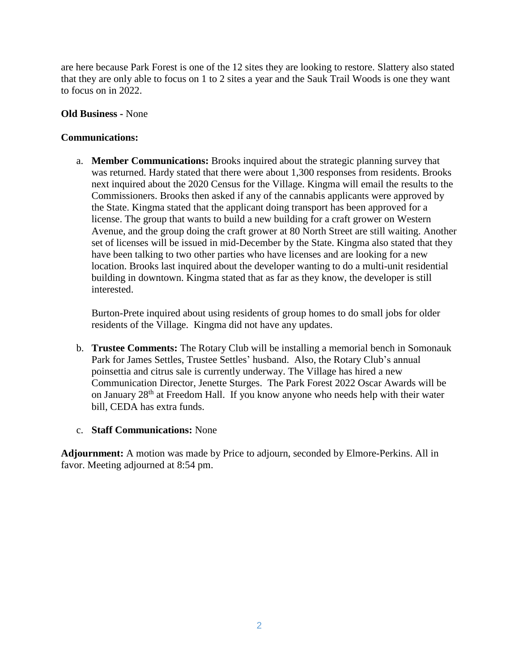are here because Park Forest is one of the 12 sites they are looking to restore. Slattery also stated that they are only able to focus on 1 to 2 sites a year and the Sauk Trail Woods is one they want to focus on in 2022.

#### **Old Business -** None

#### **Communications:**

a. **Member Communications:** Brooks inquired about the strategic planning survey that was returned. Hardy stated that there were about 1,300 responses from residents. Brooks next inquired about the 2020 Census for the Village. Kingma will email the results to the Commissioners. Brooks then asked if any of the cannabis applicants were approved by the State. Kingma stated that the applicant doing transport has been approved for a license. The group that wants to build a new building for a craft grower on Western Avenue, and the group doing the craft grower at 80 North Street are still waiting. Another set of licenses will be issued in mid-December by the State. Kingma also stated that they have been talking to two other parties who have licenses and are looking for a new location. Brooks last inquired about the developer wanting to do a multi-unit residential building in downtown. Kingma stated that as far as they know, the developer is still interested.

Burton-Prete inquired about using residents of group homes to do small jobs for older residents of the Village. Kingma did not have any updates.

- b. **Trustee Comments:** The Rotary Club will be installing a memorial bench in Somonauk Park for James Settles, Trustee Settles' husband. Also, the Rotary Club's annual poinsettia and citrus sale is currently underway. The Village has hired a new Communication Director, Jenette Sturges. The Park Forest 2022 Oscar Awards will be on January 28th at Freedom Hall. If you know anyone who needs help with their water bill, CEDA has extra funds.
- c. **Staff Communications:** None

**Adjournment:** A motion was made by Price to adjourn, seconded by Elmore-Perkins. All in favor. Meeting adjourned at 8:54 pm.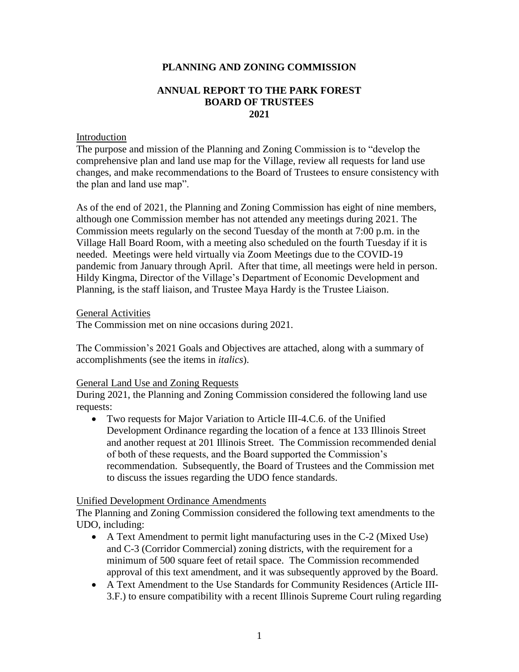#### **PLANNING AND ZONING COMMISSION**

#### **ANNUAL REPORT TO THE PARK FOREST BOARD OF TRUSTEES 2021**

#### Introduction

The purpose and mission of the Planning and Zoning Commission is to "develop the comprehensive plan and land use map for the Village, review all requests for land use changes, and make recommendations to the Board of Trustees to ensure consistency with the plan and land use map".

As of the end of 2021, the Planning and Zoning Commission has eight of nine members, although one Commission member has not attended any meetings during 2021. The Commission meets regularly on the second Tuesday of the month at 7:00 p.m. in the Village Hall Board Room, with a meeting also scheduled on the fourth Tuesday if it is needed. Meetings were held virtually via Zoom Meetings due to the COVID-19 pandemic from January through April. After that time, all meetings were held in person. Hildy Kingma, Director of the Village's Department of Economic Development and Planning, is the staff liaison, and Trustee Maya Hardy is the Trustee Liaison.

General Activities

The Commission met on nine occasions during 2021.

The Commission's 2021 Goals and Objectives are attached, along with a summary of accomplishments (see the items in *italics*).

#### General Land Use and Zoning Requests

During 2021, the Planning and Zoning Commission considered the following land use requests:

 Two requests for Major Variation to Article III-4.C.6. of the Unified Development Ordinance regarding the location of a fence at 133 Illinois Street and another request at 201 Illinois Street. The Commission recommended denial of both of these requests, and the Board supported the Commission's recommendation. Subsequently, the Board of Trustees and the Commission met to discuss the issues regarding the UDO fence standards.

#### Unified Development Ordinance Amendments

The Planning and Zoning Commission considered the following text amendments to the UDO, including:

- A Text Amendment to permit light manufacturing uses in the C-2 (Mixed Use) and C-3 (Corridor Commercial) zoning districts, with the requirement for a minimum of 500 square feet of retail space. The Commission recommended approval of this text amendment, and it was subsequently approved by the Board.
- A Text Amendment to the Use Standards for Community Residences (Article III-3.F.) to ensure compatibility with a recent Illinois Supreme Court ruling regarding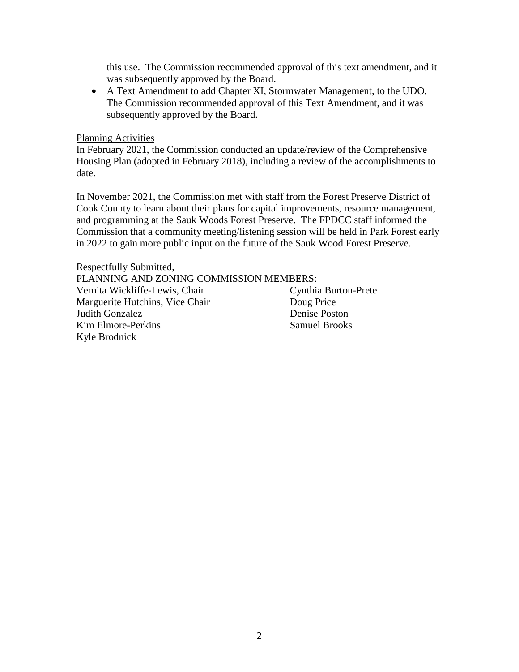this use. The Commission recommended approval of this text amendment, and it was subsequently approved by the Board.

 A Text Amendment to add Chapter XI, Stormwater Management, to the UDO. The Commission recommended approval of this Text Amendment, and it was subsequently approved by the Board.

#### Planning Activities

In February 2021, the Commission conducted an update/review of the Comprehensive Housing Plan (adopted in February 2018), including a review of the accomplishments to date.

In November 2021, the Commission met with staff from the Forest Preserve District of Cook County to learn about their plans for capital improvements, resource management, and programming at the Sauk Woods Forest Preserve. The FPDCC staff informed the Commission that a community meeting/listening session will be held in Park Forest early in 2022 to gain more public input on the future of the Sauk Wood Forest Preserve.

Respectfully Submitted, PLANNING AND ZONING COMMISSION MEMBERS: Vernita Wickliffe-Lewis, Chair Cynthia Burton-Prete Marguerite Hutchins, Vice Chair **Doug Price Judith Gonzalez** Denise Poston Kim Elmore-Perkins Samuel Brooks Kyle Brodnick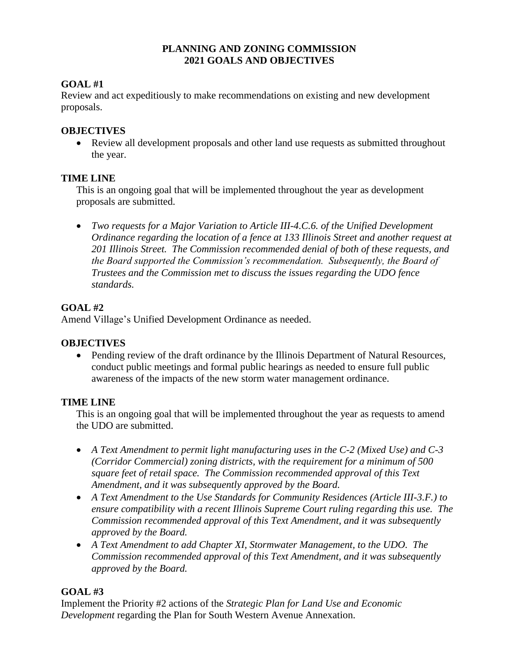#### **PLANNING AND ZONING COMMISSION 2021 GOALS AND OBJECTIVES**

## **GOAL #1**

Review and act expeditiously to make recommendations on existing and new development proposals.

## **OBJECTIVES**

• Review all development proposals and other land use requests as submitted throughout the year.

## **TIME LINE**

This is an ongoing goal that will be implemented throughout the year as development proposals are submitted.

 *Two requests for a Major Variation to Article III-4.C.6. of the Unified Development Ordinance regarding the location of a fence at 133 Illinois Street and another request at 201 Illinois Street. The Commission recommended denial of both of these requests, and the Board supported the Commission's recommendation. Subsequently, the Board of Trustees and the Commission met to discuss the issues regarding the UDO fence standards.* 

## **GOAL #2**

Amend Village's Unified Development Ordinance as needed.

### **OBJECTIVES**

• Pending review of the draft ordinance by the Illinois Department of Natural Resources, conduct public meetings and formal public hearings as needed to ensure full public awareness of the impacts of the new storm water management ordinance.

### **TIME LINE**

This is an ongoing goal that will be implemented throughout the year as requests to amend the UDO are submitted.

- *A Text Amendment to permit light manufacturing uses in the C-2 (Mixed Use) and C-3 (Corridor Commercial) zoning districts, with the requirement for a minimum of 500 square feet of retail space. The Commission recommended approval of this Text Amendment, and it was subsequently approved by the Board.*
- *A Text Amendment to the Use Standards for Community Residences (Article III-3.F.) to ensure compatibility with a recent Illinois Supreme Court ruling regarding this use. The Commission recommended approval of this Text Amendment, and it was subsequently approved by the Board.*
- *A Text Amendment to add Chapter XI, Stormwater Management, to the UDO. The Commission recommended approval of this Text Amendment, and it was subsequently approved by the Board.*

## **GOAL #3**

Implement the Priority #2 actions of the *Strategic Plan for Land Use and Economic Development* regarding the Plan for South Western Avenue Annexation.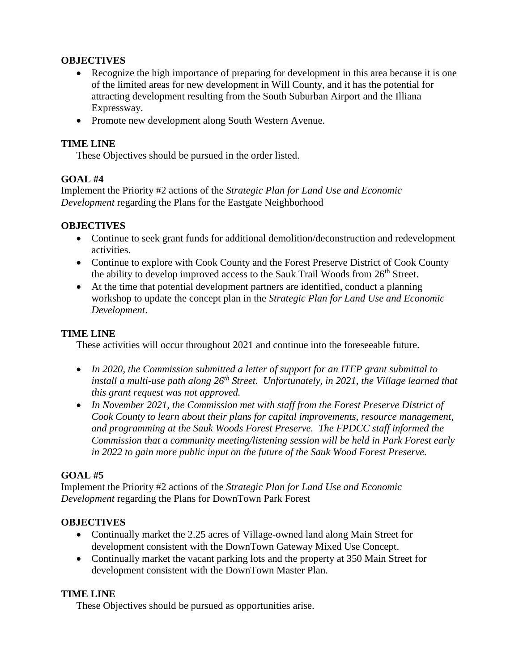### **OBJECTIVES**

- Recognize the high importance of preparing for development in this area because it is one of the limited areas for new development in Will County, and it has the potential for attracting development resulting from the South Suburban Airport and the Illiana Expressway.
- Promote new development along South Western Avenue.

#### **TIME LINE**

These Objectives should be pursued in the order listed.

#### **GOAL #4**

Implement the Priority #2 actions of the *Strategic Plan for Land Use and Economic Development* regarding the Plans for the Eastgate Neighborhood

#### **OBJECTIVES**

- Continue to seek grant funds for additional demolition/deconstruction and redevelopment activities.
- Continue to explore with Cook County and the Forest Preserve District of Cook County the ability to develop improved access to the Sauk Trail Woods from  $26<sup>th</sup>$  Street.
- At the time that potential development partners are identified, conduct a planning workshop to update the concept plan in the *Strategic Plan for Land Use and Economic Development*.

#### **TIME LINE**

These activities will occur throughout 2021 and continue into the foreseeable future.

- *In 2020, the Commission submitted a letter of support for an ITEP grant submittal to install a multi-use path along 26th Street. Unfortunately, in 2021, the Village learned that this grant request was not approved.*
- In November 2021, the Commission met with staff from the Forest Preserve District of *Cook County to learn about their plans for capital improvements, resource management, and programming at the Sauk Woods Forest Preserve. The FPDCC staff informed the Commission that a community meeting/listening session will be held in Park Forest early in 2022 to gain more public input on the future of the Sauk Wood Forest Preserve.*

### **GOAL #5**

Implement the Priority #2 actions of the *Strategic Plan for Land Use and Economic Development* regarding the Plans for DownTown Park Forest

#### **OBJECTIVES**

- Continually market the 2.25 acres of Village-owned land along Main Street for development consistent with the DownTown Gateway Mixed Use Concept.
- Continually market the vacant parking lots and the property at 350 Main Street for development consistent with the DownTown Master Plan.

### **TIME LINE**

These Objectives should be pursued as opportunities arise.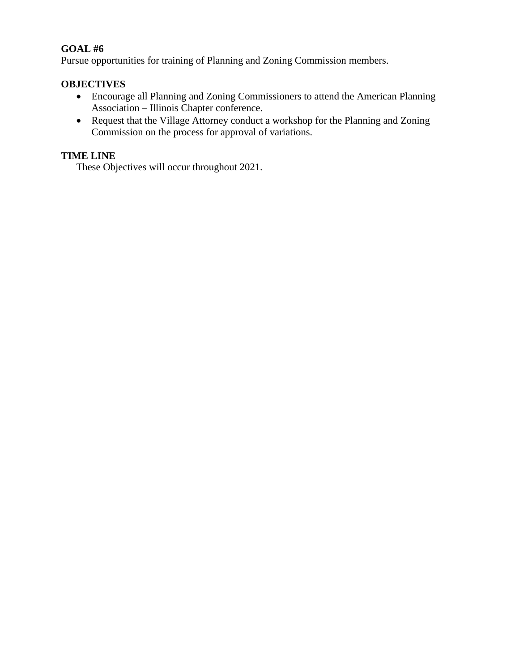## **GOAL #6**

Pursue opportunities for training of Planning and Zoning Commission members.

#### **OBJECTIVES**

- Encourage all Planning and Zoning Commissioners to attend the American Planning Association – Illinois Chapter conference.
- Request that the Village Attorney conduct a workshop for the Planning and Zoning Commission on the process for approval of variations.

## **TIME LINE**

These Objectives will occur throughout 2021.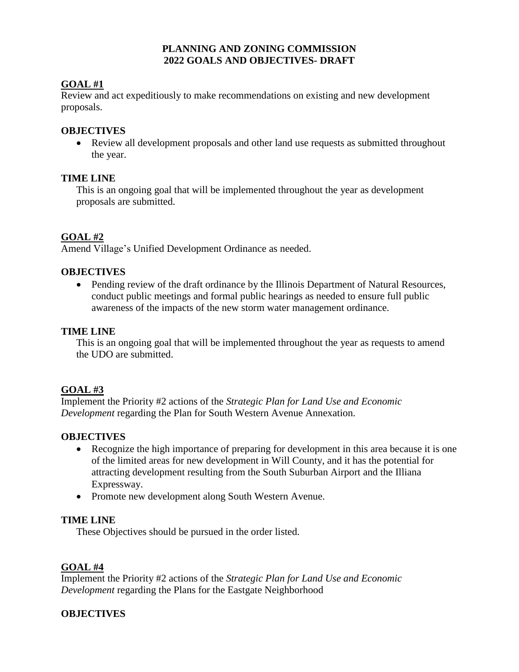#### **PLANNING AND ZONING COMMISSION 2022 GOALS AND OBJECTIVES- DRAFT**

## **GOAL #1**

Review and act expeditiously to make recommendations on existing and new development proposals.

### **OBJECTIVES**

• Review all development proposals and other land use requests as submitted throughout the year.

#### **TIME LINE**

This is an ongoing goal that will be implemented throughout the year as development proposals are submitted.

### **GOAL #2**

Amend Village's Unified Development Ordinance as needed.

#### **OBJECTIVES**

• Pending review of the draft ordinance by the Illinois Department of Natural Resources, conduct public meetings and formal public hearings as needed to ensure full public awareness of the impacts of the new storm water management ordinance.

#### **TIME LINE**

This is an ongoing goal that will be implemented throughout the year as requests to amend the UDO are submitted.

### **GOAL #3**

Implement the Priority #2 actions of the *Strategic Plan for Land Use and Economic Development* regarding the Plan for South Western Avenue Annexation.

### **OBJECTIVES**

- Recognize the high importance of preparing for development in this area because it is one of the limited areas for new development in Will County, and it has the potential for attracting development resulting from the South Suburban Airport and the Illiana Expressway.
- Promote new development along South Western Avenue.

#### **TIME LINE**

These Objectives should be pursued in the order listed.

### **GOAL #4**

Implement the Priority #2 actions of the *Strategic Plan for Land Use and Economic Development* regarding the Plans for the Eastgate Neighborhood

### **OBJECTIVES**